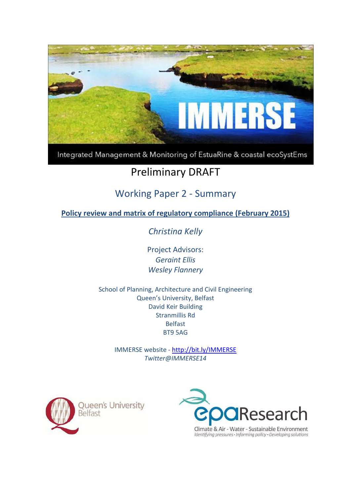

Integrated Management & Monitoring of EstuaRine & coastal ecoSystEms

# Preliminary DRAFT

## Working Paper 2 - Summary

**Policy review and matrix of regulatory compliance (February 2015)**

*Christina Kelly*

Project Advisors: *Geraint Ellis Wesley Flannery*

School of Planning, Architecture and Civil Engineering Queen's University, Belfast David Keir Building Stranmillis Rd Belfast BT9 5AG

> IMMERSE website - <http://bit.ly/IMMERSE> *Twitter@IMMERSE14*



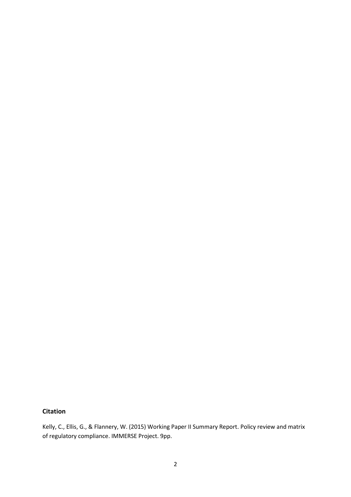## **Citation**

Kelly, C., Ellis, G., & Flannery, W. (2015) Working Paper II Summary Report. Policy review and matrix of regulatory compliance. IMMERSE Project. 9pp.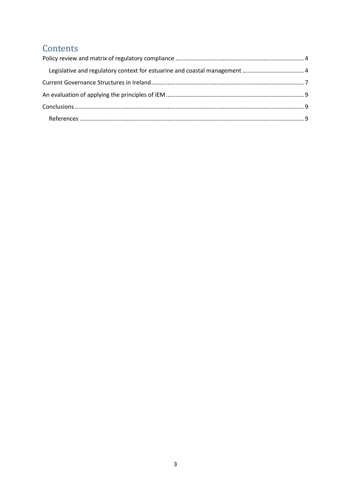## Contents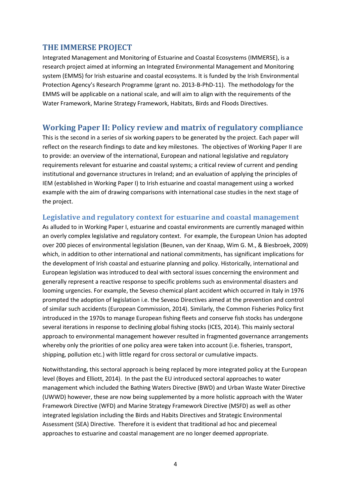## <span id="page-3-0"></span>**THE IMMERSE PROJECT**

Integrated Management and Monitoring of Estuarine and Coastal Ecosystems [\(IMMERSE\)](http://www.qub.ac.uk/research-centres/TheInstituteofSpatialandEnvironmentalPlanning/Impact/CurrentResearchProjects/IntegratedEnvironmentalManagementandMonitoringSystem/), is a research project aimed at informing an Integrated Environmental Management and Monitoring system (EMMS) for Irish estuarine and coastal ecosystems. It is funded by the Irish Environmental Protection Agency's Research Programme (grant no. 2013-B-PhD-11). The methodology for the EMMS will be applicable on a national scale, and will aim to align with the requirements of the Water Framework, Marine Strategy Framework, Habitats, Birds and Floods Directives.

## **Working Paper II: Policy review and matrix of regulatory compliance**

This is the second in a series of six working papers to be generated by the project. Each paper will reflect on the research findings to date and key milestones. The objectives of Working Paper II are to provide: an overview of the international, European and national legislative and regulatory requirements relevant for estuarine and coastal systems; a critical review of current and pending institutional and governance structures in Ireland; and an evaluation of applying the principles of IEM (established in Working Paper I) to Irish estuarine and coastal management using a worked example with the aim of drawing comparisons with international case studies in the next stage of the project.

#### <span id="page-3-1"></span>**Legislative and regulatory context for estuarine and coastal management**

As alluded to in Working Paper I, estuarine and coastal environments are currently managed within an overly complex legislative and regulatory context. For example, the European Union has adopted over 200 pieces of environmental legislation (Beunen, van der Knaap, Wim G. M., & Biesbroek, 2009) which, in addition to other international and national commitments, has significant implications for the development of Irish coastal and estuarine planning and policy. Historically, international and European legislation was introduced to deal with sectoral issues concerning the environment and generally represent a reactive response to specific problems such as environmental disasters and looming urgencies. For example, the Seveso chemical plant accident which occurred in Italy in 1976 prompted the adoption of legislation i.e. the Seveso Directives aimed at the prevention and control of similar such accidents (European Commission, 2014). Similarly, the Common Fisheries Policy first introduced in the 1970s to manage European fishing fleets and conserve fish stocks has undergone several iterations in response to declining global fishing stocks (ICES, 2014). This mainly sectoral approach to environmental management however resulted in fragmented governance arrangements whereby only the priorities of one policy area were taken into account (i.e. fisheries, transport, shipping, pollution etc.) with little regard for cross sectoral or cumulative impacts.

Notwithstanding, this sectoral approach is being replaced by more integrated policy at the European level (Boyes and Elliott, 2014). In the past the EU introduced sectoral approaches to water management which included the Bathing Waters Directive (BWD) and Urban Waste Water Directive (UWWD) however, these are now being supplemented by a more holistic approach with the Water Framework Directive (WFD) and Marine Strategy Framework Directive (MSFD) as well as other integrated legislation including the Birds and Habits Directives and Strategic Environmental Assessment (SEA) Directive. Therefore it is evident that traditional ad hoc and piecemeal approaches to estuarine and coastal management are no longer deemed appropriate.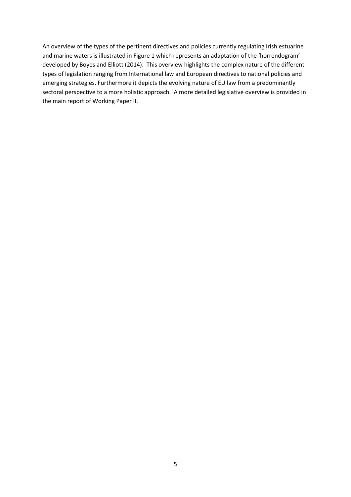An overview of the types of the pertinent directives and policies currently regulating Irish estuarine and marine waters is illustrated in Figure 1 which represents an adaptation of the 'horrendogram' developed by Boyes and Elliott (2014). This overview highlights the complex nature of the different types of legislation ranging from International law and European directives to national policies and emerging strategies. Furthermore it depicts the evolving nature of EU law from a predominantly sectoral perspective to a more holistic approach. A more detailed legislative overview is provided in the main report of Working Paper II.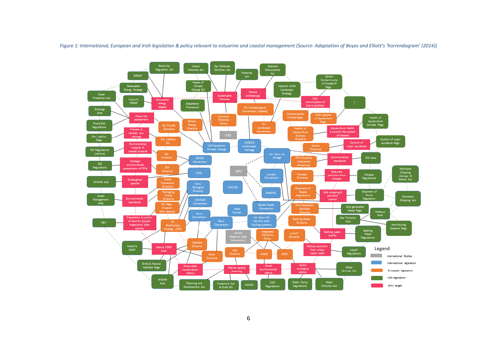

Figure 1: International, European and Irish legislation & policy relevant to estuarine and coastal management (Source: Adaptation of Boyes and Elliott's 'horrendogram' (2014))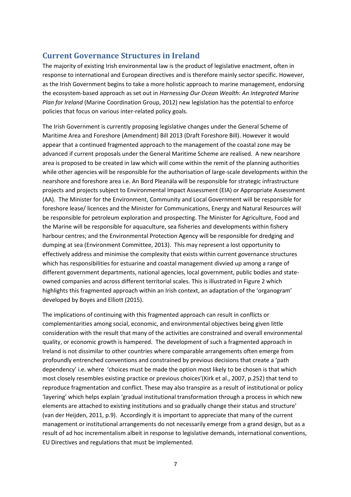## <span id="page-6-0"></span>**Current Governance Structures in Ireland**

The majority of existing Irish environmental law is the product of legislative enactment, often in response to international and European directives and is therefore mainly sector specific. However, as the Irish Government begins to take a more holistic approach to marine management, endorsing the ecosystem-based approach as set out in *Harnessing Our Ocean Wealth: An Integrated Marine Plan for Ireland* (Marine Coordination Group, 2012) new legislation has the potential to enforce policies that focus on various inter-related policy goals.

The Irish Government is currently proposing legislative changes under the General Scheme of Maritime Area and Foreshore (Amendment) Bill 2013 (Draft Foreshore Bill). However it would appear that a continued fragmented approach to the management of the coastal zone may be advanced if current proposals under the General Maritime Scheme are realised. A new nearshore area is proposed to be created in law which will come within the remit of the planning authorities while other agencies will be responsible for the authorisation of large-scale developments within the nearshore and foreshore area i.e. An Bord Pleanála will be responsible for strategic infrastructure projects and projects subject to Environmental Impact Assessment (EIA) or Appropriate Assessment (AA). The Minister for the Environment, Community and Local Government will be responsible for foreshore lease/ licences and the Minister for Communications, Energy and Natural Resources will be responsible for petroleum exploration and prospecting. The Minister for Agriculture, Food and the Marine will be responsible for aquaculture, sea fisheries and developments within fishery harbour centres; and the Environmental Protection Agency will be responsible for dredging and dumping at sea (Environment Committee, 2013). This may represent a lost opportunity to effectively address and minimise the complexity that exists within current governance structures which has responsibilities for estuarine and coastal management divvied up among a range of different government departments, national agencies, local government, public bodies and stateowned companies and across different territorial scales. This is illustrated in Figure 2 which highlights this fragmented approach within an Irish context, an adaptation of the 'organogram' developed by Boyes and Elliott (2015).

The implications of continuing with this fragmented approach can result in conflicts or complementarities among social, economic, and environmental objectives being given little consideration with the result that many of the activities are constrained and overall environmental quality, or economic growth is hampered. The development of such a fragmented approach in Ireland is not dissimilar to other countries where comparable arrangements often emerge from profoundly entrenched conventions and constrained by previous decisions that create a 'path dependency' i.e. where 'choices must be made the option most likely to be chosen is that which most closely resembles existing practice or previous choices'(Kirk et al., 2007, p.252) that tend to reproduce fragmentation and conflict. These may also transpire as a result of institutional or policy 'layering' which helps explain 'gradual institutional transformation through a process in which new elements are attached to existing institutions and so gradually change their status and structure' (van der Heijden, 2011, p.9). Accordingly it is important to appreciate that many of the current management or institutional arrangements do not necessarily emerge from a grand design, but as a result of ad hoc incrementalism albeit in response to legislative demands, international conventions, EU Directives and regulations that must be implemented.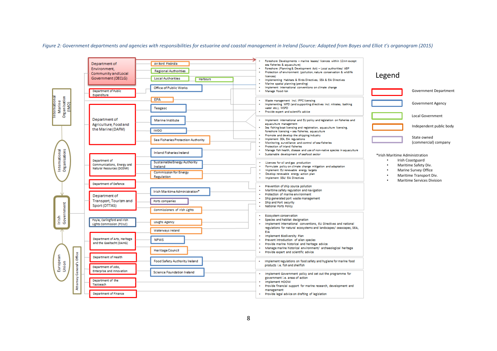*Figure 2: Government departments and agencies with responsibilities for estuarine and coastal management in Ireland (Source: Adapted from Boyes and Elliot t's organogram (2015)*